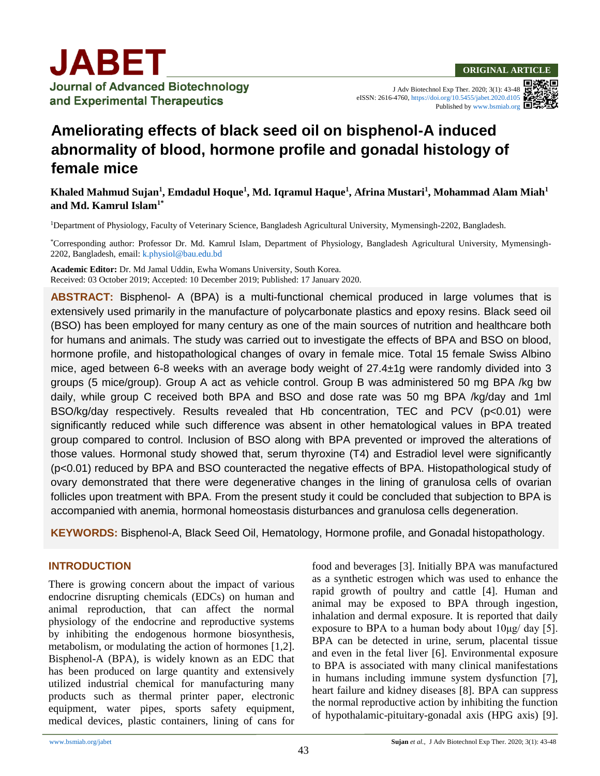J Adv Biotechnol Exp Ther. 2020; 3(1): 43-48 eISSN: 2616-4760,<https://doi.org/10.5455/jabet.2020.d105> Published b[y www.bsmiab.org](http://www.bsmiab.org/)

# **Ameliorating effects of black seed oil on bisphenol-A induced abnormality of blood, hormone profile and gonadal histology of female mice**

## **Khaled Mahmud Sujan<sup>1</sup> , Emdadul Hoque<sup>1</sup> , Md. Iqramul Haque<sup>1</sup> , Afrina Mustari<sup>1</sup> , Mohammad Alam Miah<sup>1</sup> and Md. Kamrul Islam1\***

<sup>1</sup>Department of Physiology, Faculty of Veterinary Science, Bangladesh Agricultural University, Mymensingh-2202, Bangladesh.

\*Corresponding author: Professor Dr. Md. Kamrul Islam, Department of Physiology, Bangladesh Agricultural University, Mymensingh-2202, Bangladesh, email[: k.physiol@bau.edu.bd](mailto:k.physiol@bau.edu.bd)

**Academic Editor:** Dr. Md Jamal Uddin, Ewha Womans University, South Korea. Received: 03 October 2019; Accepted: 10 December 2019; Published: 17 January 2020.

**ABSTRACT:** Bisphenol- A (BPA) is a multi-functional chemical produced in large volumes that is extensively used primarily in the manufacture of polycarbonate plastics and epoxy resins. Black seed oil (BSO) has been employed for many century as one of the main sources of nutrition and healthcare both for humans and animals. The study was carried out to investigate the effects of BPA and BSO on blood, hormone profile, and histopathological changes of ovary in female mice. Total 15 female Swiss Albino mice, aged between 6-8 weeks with an average body weight of 27.4±1g were randomly divided into 3 groups (5 mice/group). Group A act as vehicle control. Group B was administered 50 mg BPA /kg bw daily, while group C received both BPA and BSO and dose rate was 50 mg BPA /kg/day and 1ml BSO/kg/day respectively. Results revealed that Hb concentration, TEC and PCV (p<0.01) were significantly reduced while such difference was absent in other hematological values in BPA treated group compared to control. Inclusion of BSO along with BPA prevented or improved the alterations of those values. Hormonal study showed that, serum thyroxine (T4) and Estradiol level were significantly (p<0.01) reduced by BPA and BSO counteracted the negative effects of BPA. Histopathological study of ovary demonstrated that there were degenerative changes in the lining of granulosa cells of ovarian follicles upon treatment with BPA. From the present study it could be concluded that subjection to BPA is accompanied with anemia, hormonal homeostasis disturbances and granulosa cells degeneration.

**KEYWORDS:** Bisphenol-A, Black Seed Oil, Hematology, Hormone profile, and Gonadal histopathology.

#### **INTRODUCTION**

There is growing concern about the impact of various endocrine disrupting chemicals (EDCs) on human and animal reproduction, that can affect the normal physiology of the endocrine and reproductive systems by inhibiting the endogenous hormone biosynthesis, metabolism, or modulating the action of hormones [1,2]. Bisphenol-A (BPA), is widely known as an EDC that has been produced on large quantity and extensively utilized industrial chemical for manufacturing many products such as thermal printer paper, electronic equipment, water pipes, sports safety equipment, medical devices, plastic containers, lining of cans for food and beverages [3]. Initially BPA was manufactured as a synthetic estrogen which was used to enhance the rapid growth of poultry and cattle [4]. Human and animal may be exposed to BPA through ingestion, inhalation and dermal exposure. It is reported that daily exposure to BPA to a human body about  $10\mu\text{g}/\text{day}$  [5]. BPA can be detected in urine, serum, placental tissue and even in the fetal liver [6]. Environmental exposure to BPA is associated with many clinical manifestations in humans including immune system dysfunction [7], heart failure and kidney diseases [8]. BPA can suppress the normal reproductive action by inhibiting the function of hypothalamic-pituitary-gonadal axis (HPG axis) [9].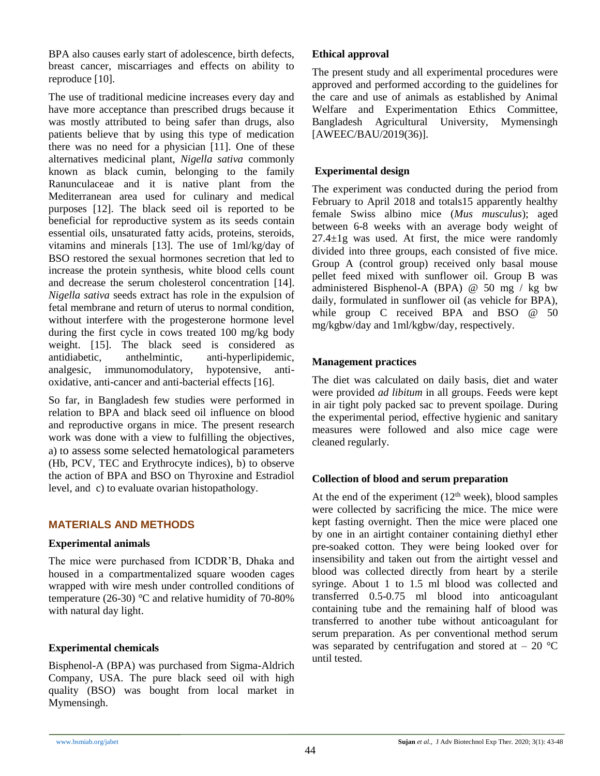BPA also causes early start of adolescence, birth defects, breast cancer, miscarriages and effects on ability to reproduce [10].

The use of traditional medicine increases every day and have more acceptance than prescribed drugs because it was mostly attributed to being safer than drugs, also patients believe that by using this type of medication there was no need for a physician [11]. One of these alternatives medicinal plant, *Nigella sativa* commonly known as black cumin, belonging to the family Ranunculaceae and it is native plant from the Mediterranean area used for culinary and medical purposes [12]. The black seed oil is reported to be beneficial for reproductive system as its seeds contain essential oils, unsaturated fatty acids, proteins, steroids, vitamins and minerals [13]. The use of 1ml/kg/day of BSO restored the sexual hormones secretion that led to increase the protein synthesis, white blood cells count and decrease the serum cholesterol concentration [14]. *Nigella sativa* seeds extract has role in the expulsion of fetal membrane and return of uterus to normal condition, without interfere with the progesterone hormone level during the first cycle in cows treated 100 mg/kg body weight. [15]. The black seed is considered as antidiabetic, anthelmintic, anti-hyperlipidemic, analgesic, immunomodulatory, hypotensive, antioxidative, anti-cancer and anti-bacterial effects [16].

So far, in Bangladesh few studies were performed in relation to BPA and black seed oil influence on blood and reproductive organs in mice. The present research work was done with a view to fulfilling the objectives, a) to assess some selected hematological parameters (Hb, PCV, TEC and Erythrocyte indices), b) to observe the action of BPA and BSO on Thyroxine and Estradiol level, and c) to evaluate ovarian histopathology.

## **MATERIALS AND METHODS**

#### **Experimental animals**

The mice were purchased from ICDDR'B, Dhaka and housed in a compartmentalized square wooden cages wrapped with wire mesh under controlled conditions of temperature (26-30) °C and relative humidity of 70-80% with natural day light.

# **Experimental chemicals**

Bisphenol-A (BPA) was purchased from Sigma-Aldrich Company, USA. The pure black seed oil with high quality (BSO) was bought from local market in Mymensingh.

#### **Ethical approval**

The present study and all experimental procedures were approved and performed according to the guidelines for the care and use of animals as established by Animal Welfare and Experimentation Ethics Committee, Bangladesh Agricultural University, Mymensingh [AWEEC/BAU/2019(36)].

# **Experimental design**

The experiment was conducted during the period from February to April 2018 and totals15 apparently healthy female Swiss albino mice (*Mus musculus*); aged between 6-8 weeks with an average body weight of  $27.4 \pm 1$ g was used. At first, the mice were randomly divided into three groups, each consisted of five mice. Group A (control group) received only basal mouse pellet feed mixed with sunflower oil. Group B was administered Bisphenol-A (BPA) @ 50 mg / kg bw daily, formulated in sunflower oil (as vehicle for BPA), while group C received BPA and BSO @ 50 mg/kgbw/day and 1ml/kgbw/day, respectively.

# **Management practices**

The diet was calculated on daily basis, diet and water were provided *ad libitum* in all groups. Feeds were kept in air tight poly packed sac to prevent spoilage. During the experimental period, effective hygienic and sanitary measures were followed and also mice cage were cleaned regularly.

## **Collection of blood and serum preparation**

At the end of the experiment  $(12<sup>th</sup> week)$ , blood samples were collected by sacrificing the mice. The mice were kept fasting overnight. Then the mice were placed one by one in an airtight container containing diethyl ether pre-soaked cotton. They were being looked over for insensibility and taken out from the airtight vessel and blood was collected directly from heart by a sterile syringe. About 1 to 1.5 ml blood was collected and transferred 0.5-0.75 ml blood into anticoagulant containing tube and the remaining half of blood was transferred to another tube without anticoagulant for serum preparation. As per conventional method serum was separated by centrifugation and stored at  $-20$  °C until tested.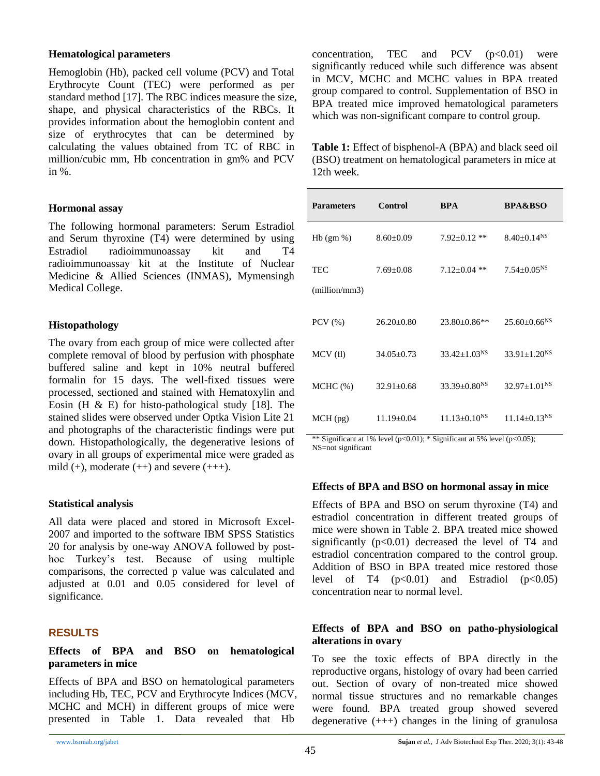#### **Hematological parameters**

Hemoglobin (Hb), packed cell volume (PCV) and Total Erythrocyte Count (TEC) were performed as per standard method [17]. The RBC indices measure the size, shape, and physical characteristics of the RBCs. It provides information about the hemoglobin content and size of erythrocytes that can be determined by calculating the values obtained from TC of RBC in million/cubic mm, Hb concentration in gm% and PCV in %.

#### **Hormonal assay**

The following hormonal parameters: Serum Estradiol and Serum thyroxine (T4) were determined by using Estradiol radioimmunoassay kit and T4 radioimmunoassay kit at the Institute of Nuclear Medicine & Allied Sciences (INMAS), Mymensingh Medical College.

#### **Histopathology**

The ovary from each group of mice were collected after complete removal of blood by perfusion with phosphate buffered saline and kept in 10% neutral buffered formalin for 15 days. The well-fixed tissues were processed, sectioned and stained with Hematoxylin and Eosin (H  $\&$  E) for histo-pathological study [18]. The stained slides were observed under Optka Vision Lite 21 and photographs of the characteristic findings were put down. Histopathologically, the degenerative lesions of ovary in all groups of experimental mice were graded as mild  $(+)$ , moderate  $(++)$  and severe  $(++)$ .

## **Statistical analysis**

All data were placed and stored in Microsoft Excel-2007 and imported to the software IBM SPSS Statistics 20 for analysis by one-way ANOVA followed by posthoc Turkey's test. Because of using multiple comparisons, the corrected p value was calculated and adjusted at 0.01 and 0.05 considered for level of significance.

# **RESULTS**

#### **Effects of BPA and BSO on hematological parameters in mice**

Effects of BPA and BSO on hematological parameters including Hb, TEC, PCV and Erythrocyte Indices (MCV, MCHC and MCH) in different groups of mice were presented in Table 1. Data revealed that Hb

concentration, TEC and PCV  $(p<0.01)$  were significantly reduced while such difference was absent in MCV, MCHC and MCHC values in BPA treated group compared to control. Supplementation of BSO in BPA treated mice improved hematological parameters which was non-significant compare to control group.

**Table 1:** Effect of bisphenol-A (BPA) and black seed oil (BSO) treatment on hematological parameters in mice at 12th week.

| <b>Parameters</b>    | <b>Control</b>   | <b>BPA</b>            | <b>BPA&amp;BSO</b>             |
|----------------------|------------------|-----------------------|--------------------------------|
| $Hb$ (gm %)          | $8.60 \pm 0.09$  | $7.92 \pm 0.12$ **    | $8.40+0.14NS$                  |
| TEC<br>(million/mm3) | $7.69 + 0.08$    | $7.12 \pm 0.04$ **    | $7.54 \pm 0.05$ <sup>NS</sup>  |
| $PCV$ $(\% )$        | $26.20+0.80$     | $23.80 \pm 0.86$ **   | $25.60 \pm 0.66$ <sup>NS</sup> |
| MCV(f)               | $34.05 \pm 0.73$ | $33.42 \pm 1.03^{NS}$ | $33.91 \pm 1.20$ <sup>NS</sup> |
| $MCHC$ $(\%)$        | $32.91 \pm 0.68$ | $33.39 + 0.80^{N}$    | $32.97+1.01NS$                 |
| $MCH$ (pg)           | $11.19 \pm 0.04$ | $11.13 + 0.10^{N}$    | $11.14 + 0.13NS$               |

\*\* Significant at 1% level (p<0.01); \* Significant at 5% level (p<0.05); NS=not significant

## **Effects of BPA and BSO on hormonal assay in mice**

Effects of BPA and BSO on serum thyroxine (T4) and estradiol concentration in different treated groups of mice were shown in Table 2. BPA treated mice showed significantly  $(p<0.01)$  decreased the level of T4 and estradiol concentration compared to the control group. Addition of BSO in BPA treated mice restored those level of T4  $(p<0.01)$  and Estradiol  $(p<0.05)$ concentration near to normal level.

#### **Effects of BPA and BSO on patho-physiological alterations in ovary**

To see the toxic effects of BPA directly in the reproductive organs, histology of ovary had been carried out. Section of ovary of non-treated mice showed normal tissue structures and no remarkable changes were found. BPA treated group showed severed degenerative  $(++)$  changes in the lining of granulosa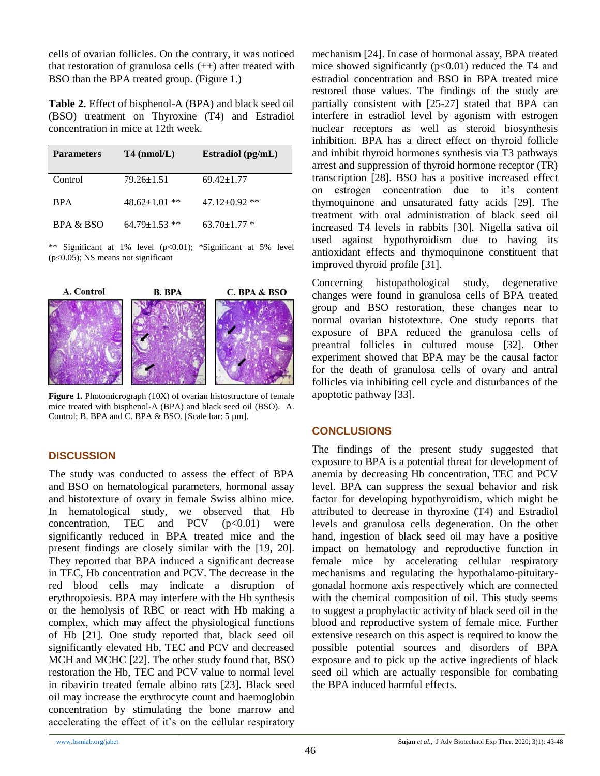cells of ovarian follicles. On the contrary, it was noticed that restoration of granulosa cells  $(++)$  after treated with BSO than the BPA treated group. (Figure 1.)

**Table 2.** Effect of bisphenol-A (BPA) and black seed oil (BSO) treatment on Thyroxine (T4) and Estradiol concentration in mice at 12th week.

| <b>Parameters</b> | $T4$ (nmol/L)       | Estradiol (pg/mL)   |
|-------------------|---------------------|---------------------|
| Control           | $79.26 \pm 1.51$    | $69.42 \pm 1.77$    |
| <b>BPA</b>        | $48.62 \pm 1.01$ ** | $47.12 \pm 0.92$ ** |
| BPA & BSO         | $64.79 + 1.53$ **   | $63.70 \pm 1.77$ *  |

Significant at 1% level  $(p<0.01)$ ; \*Significant at 5% level (p<0.05); NS means not significant



**Figure 1.** Photomicrograph (10X) of ovarian histostructure of female mice treated with bisphenol-A (BPA) and black seed oil (BSO). A. Control; B. BPA and C. BPA & BSO. [Scale bar: 5 µm].

## **DISCUSSION**

The study was conducted to assess the effect of BPA and BSO on hematological parameters, hormonal assay and histotexture of ovary in female Swiss albino mice. In hematological study, we observed that Hb concentration, TEC and PCV  $(p<0.01)$  were significantly reduced in BPA treated mice and the present findings are closely similar with the [19, 20]. They reported that BPA induced a significant decrease in TEC, Hb concentration and PCV. The decrease in the red blood cells may indicate a disruption of erythropoiesis. BPA may interfere with the Hb synthesis or the hemolysis of RBC or react with Hb making a complex, which may affect the physiological functions of Hb [21]. One study reported that, black seed oil significantly elevated Hb, TEC and PCV and decreased MCH and MCHC [22]. The other study found that, BSO restoration the Hb, TEC and PCV value to normal level in ribavirin treated female albino rats [23]. Black seed oil may increase the erythrocyte count and haemoglobin concentration by stimulating the bone marrow and accelerating the effect of it's on the cellular respiratory mechanism [24]. In case of hormonal assay, BPA treated mice showed significantly  $(p<0.01)$  reduced the T4 and estradiol concentration and BSO in BPA treated mice restored those values. The findings of the study are partially consistent with [25-27] stated that BPA can interfere in estradiol level by agonism with estrogen nuclear receptors as well as steroid biosynthesis inhibition. BPA has a direct effect on thyroid follicle and inhibit thyroid hormones synthesis via T3 pathways arrest and suppression of thyroid hormone receptor (TR) transcription [28]. BSO has a positive increased effect on estrogen concentration due to it's content thymoquinone and unsaturated fatty acids [29]. The treatment with oral administration of black seed oil increased T4 levels in rabbits [30]. Nigella sativa oil used against hypothyroidism due to having its antioxidant effects and thymoquinone constituent that improved thyroid profile [31].

Concerning histopathological study, degenerative changes were found in granulosa cells of BPA treated group and BSO restoration, these changes near to normal ovarian histotexture. One study reports that exposure of BPA reduced the granulosa cells of preantral follicles in cultured mouse [32]. Other experiment showed that BPA may be the causal factor for the death of granulosa cells of ovary and antral follicles via inhibiting cell cycle and disturbances of the apoptotic pathway [33].

## **CONCLUSIONS**

The findings of the present study suggested that exposure to BPA is a potential threat for development of anemia by decreasing Hb concentration, TEC and PCV level. BPA can suppress the sexual behavior and risk factor for developing hypothyroidism, which might be attributed to decrease in thyroxine (T4) and Estradiol levels and granulosa cells degeneration. On the other hand, ingestion of black seed oil may have a positive impact on hematology and reproductive function in female mice by accelerating cellular respiratory mechanisms and regulating the hypothalamo-pituitarygonadal hormone axis respectively which are connected with the chemical composition of oil. This study seems to suggest a prophylactic activity of black seed oil in the blood and reproductive system of female mice. Further extensive research on this aspect is required to know the possible potential sources and disorders of BPA exposure and to pick up the active ingredients of black seed oil which are actually responsible for combating the BPA induced harmful effects.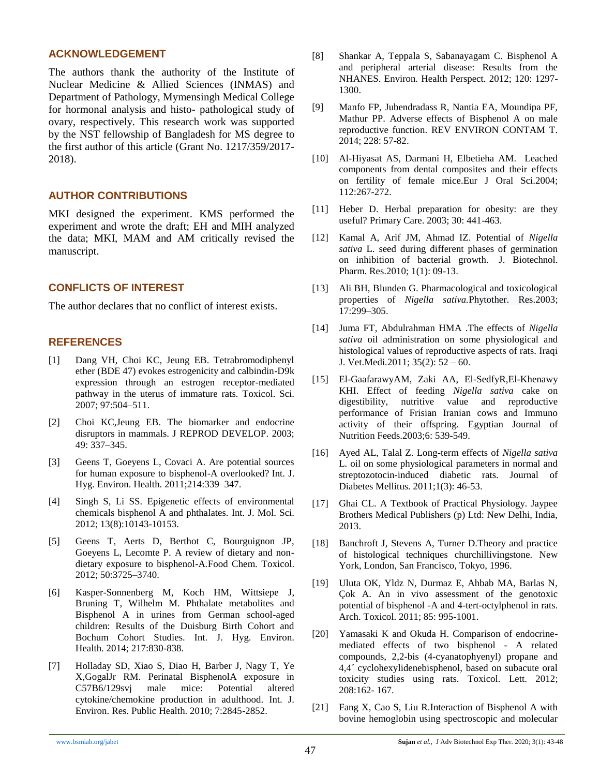#### **ACKNOWLEDGEMENT**

The authors thank the authority of the Institute of Nuclear Medicine & Allied Sciences (INMAS) and Department of Pathology, Mymensingh Medical College for hormonal analysis and histo- pathological study of ovary, respectively. This research work was supported by the NST fellowship of Bangladesh for MS degree to the first author of this article (Grant No. 1217/359/2017- 2018).

# **AUTHOR CONTRIBUTIONS**

MKI designed the experiment. KMS performed the experiment and wrote the draft; EH and MIH analyzed the data; MKI, MAM and AM critically revised the manuscript.

#### **CONFLICTS OF INTEREST**

The author declares that no conflict of interest exists.

#### **REFERENCES**

- [1] Dang VH, Choi KC, Jeung EB. Tetrabromodiphenyl ether (BDE 47) evokes estrogenicity and calbindin-D9k expression through an estrogen receptor-mediated pathway in the uterus of immature rats. Toxicol. Sci. 2007; 97:504–511.
- [2] Choi KC,Jeung EB. The biomarker and endocrine disruptors in mammals. J REPROD DEVELOP. 2003; 49: 337–345.
- [3] Geens T, Goeyens L, Covaci A. Are potential sources for human exposure to bisphenol-A overlooked? Int. J. Hyg. Environ. Health. 2011;214:339–347.
- [4] Singh S, Li SS. Epigenetic effects of environmental chemicals bisphenol A and phthalates. Int. J. Mol. Sci. 2012; 13(8):10143-10153.
- [5] Geens T, Aerts D, Berthot C, Bourguignon JP, Goeyens L, Lecomte P. A review of dietary and nondietary exposure to bisphenol-A*.*Food Chem. Toxicol. 2012; 50:3725–3740.
- [6] Kasper-Sonnenberg M, Koch HM, Wittsiepe J, Bruning T, Wilhelm M. Phthalate metabolites and Bisphenol A in urines from German school-aged children: Results of the Duisburg Birth Cohort and Bochum Cohort Studies. Int. J. Hyg. Environ. Health. 2014; 217:830-838.
- [7] Holladay SD, Xiao S, Diao H, Barber J, Nagy T, Ye X,GogalJr RM. Perinatal BisphenolA exposure in C57B6/129svj male mice: Potential altered cytokine/chemokine production in adulthood. Int. J. Environ. Res. Public Health. 2010; 7:2845-2852.
- [8] Shankar A, Teppala S, Sabanayagam C. Bisphenol A and peripheral arterial disease: Results from the NHANES. Environ. Health Perspect. 2012; 120: 1297- 1300.
- [9] Manfo FP, Jubendradass R, Nantia EA, Moundipa PF, Mathur PP. Adverse effects of Bisphenol A on male reproductive function. REV ENVIRON CONTAM T. 2014; 228: 57-82.
- [10] Al-Hiyasat AS, Darmani H, Elbetieha AM. Leached components from dental composites and their effects on fertility of female mice.Eur J Oral Sci.2004; 112:267-272.
- [11] Heber D. Herbal preparation for obesity: are they useful? Primary Care. 2003; 30: 441-463.
- [12] Kamal A, Arif JM, Ahmad IZ. Potential of *Nigella sativa* L. seed during different phases of germination on inhibition of bacterial growth. J. Biotechnol. Pharm. Res.2010; 1(1): 09-13.
- [13] Ali BH, Blunden G. Pharmacological and toxicological properties of *Nigella sativa.*Phytother. Res.2003; 17:299–305.
- [14] Juma FT, Abdulrahman HMA .The effects of *Nigella sativa* oil administration on some physiological and histological values of reproductive aspects of rats. Iraqi J. Vet.Medi*.*2011; 35(2): 52 – 60.
- [15] El-GaafarawyAM, Zaki AA, El-SedfyR,El-Khenawy KHI. Effect of feeding *Nigella sativa* cake on digestibility, nutritive value and reproductive performance of Frisian Iranian cows and Immuno activity of their offspring. Egyptian Journal of Nutrition Feeds.2003;6: 539-549.
- [16] Ayed AL, Talal Z. Long-term effects of *Nigella sativa* L. oil on some physiological parameters in normal and streptozotocin-induced diabetic rats. Journal of Diabetes Mellitus. 2011;1(3): 46-53.
- [17] Ghai CL. A Textbook of Practical Physiology. Jaypee Brothers Medical Publishers (p) Ltd: New Delhi, India, 2013.
- [18] Banchroft J, Stevens A, Turner D.Theory and practice of histological techniques churchillivingstone. New York, London, San Francisco, Tokyo, 1996.
- [19] Uluta OK, Yldz N, Durmaz E, Ahbab MA, Barlas N, Ç ok A. An in vivo assessment of the genotoxic potential of bisphenol -A and 4-tert-octylphenol in rats. Arch. Toxicol. 2011; 85: 995-1001.
- [20] Yamasaki K and Okuda H. Comparison of endocrinemediated effects of two bisphenol - A related compounds, 2,2-bis (4-cyanatophyenyl) propane and 4,4´ cyclohexylidenebisphenol, based on subacute oral toxicity studies using rats. Toxicol. Lett. 2012; 208:162- 167.
- [21] Fang X, Cao S, Liu R.Interaction of Bisphenol A with bovine hemoglobin using spectroscopic and molecular